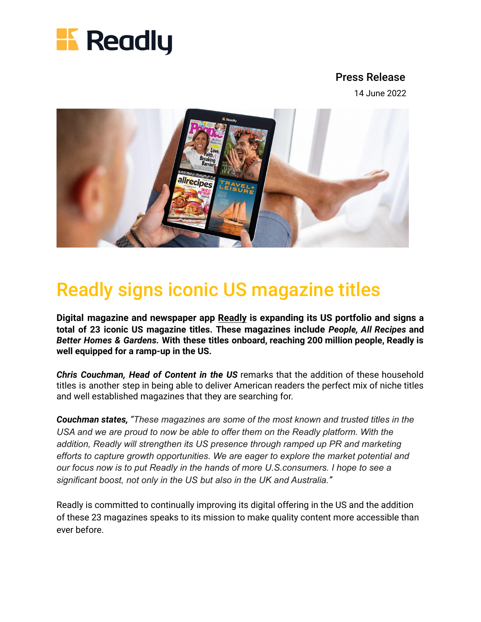

## Press Release

14 June 2022



## Readly signs iconic US magazine titles

**Digital magazine and newspaper app [Readly](https://us.readly.com/) is expanding its US portfolio and signs a total of 23 iconic US magazine titles. These magazines include** *People, All Recipes* **and** *Better Homes & Gardens.* **With these titles onboard, reaching 200 million people, Readly is well equipped for a ramp-up in the US.**

*Chris Couchman, Head of Content in the US* remarks that the addition of these household titles is another step in being able to deliver American readers the perfect mix of niche titles and well established magazines that they are searching for.

*Couchman states, "These magazines are some of the most known and trusted titles in the USA and we are proud to now be able to offer them on the Readly platform. With the addition, Readly will strengthen its US presence through ramped up PR and marketing efforts to capture growth opportunities. We are eager to explore the market potential and our focus now is to put Readly in the hands of more U.S.consumers. I hope to see a significant boost, not only in the US but also in the UK and Australia."*

Readly is committed to continually improving its digital offering in the US and the addition of these 23 magazines speaks to its mission to make quality content more accessible than ever before.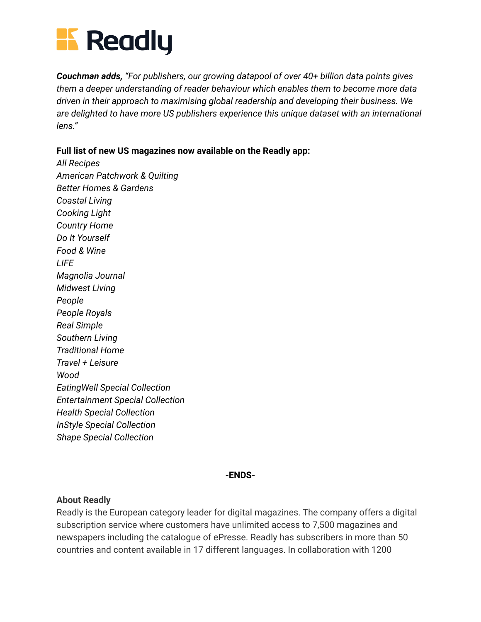

*Couchman adds, "For publishers, our growing datapool of over 40+ billion data points gives them a deeper understanding of reader behaviour which enables them to become more data driven in their approach to maximising global readership and developing their business. We are delighted to have more US publishers experience this unique dataset with an international lens."*

**Full list of new US magazines now available on the Readly app:**

*All Recipes American Patchwork & Quilting Better Homes & Gardens Coastal Living Cooking Light Country Home Do It Yourself Food & Wine LIFE Magnolia Journal Midwest Living People People Royals Real Simple Southern Living Traditional Home Travel + Leisure Wood EatingWell Special Collection Entertainment Special Collection Health Special Collection InStyle Special Collection Shape Special Collection*

## **-ENDS-**

## **About Readly**

Readly is the European category leader for digital magazines. The company offers a digital subscription service where customers have unlimited access to 7,500 magazines and newspapers including the catalogue of ePresse. Readly has subscribers in more than 50 countries and content available in 17 different languages. In collaboration with 1200